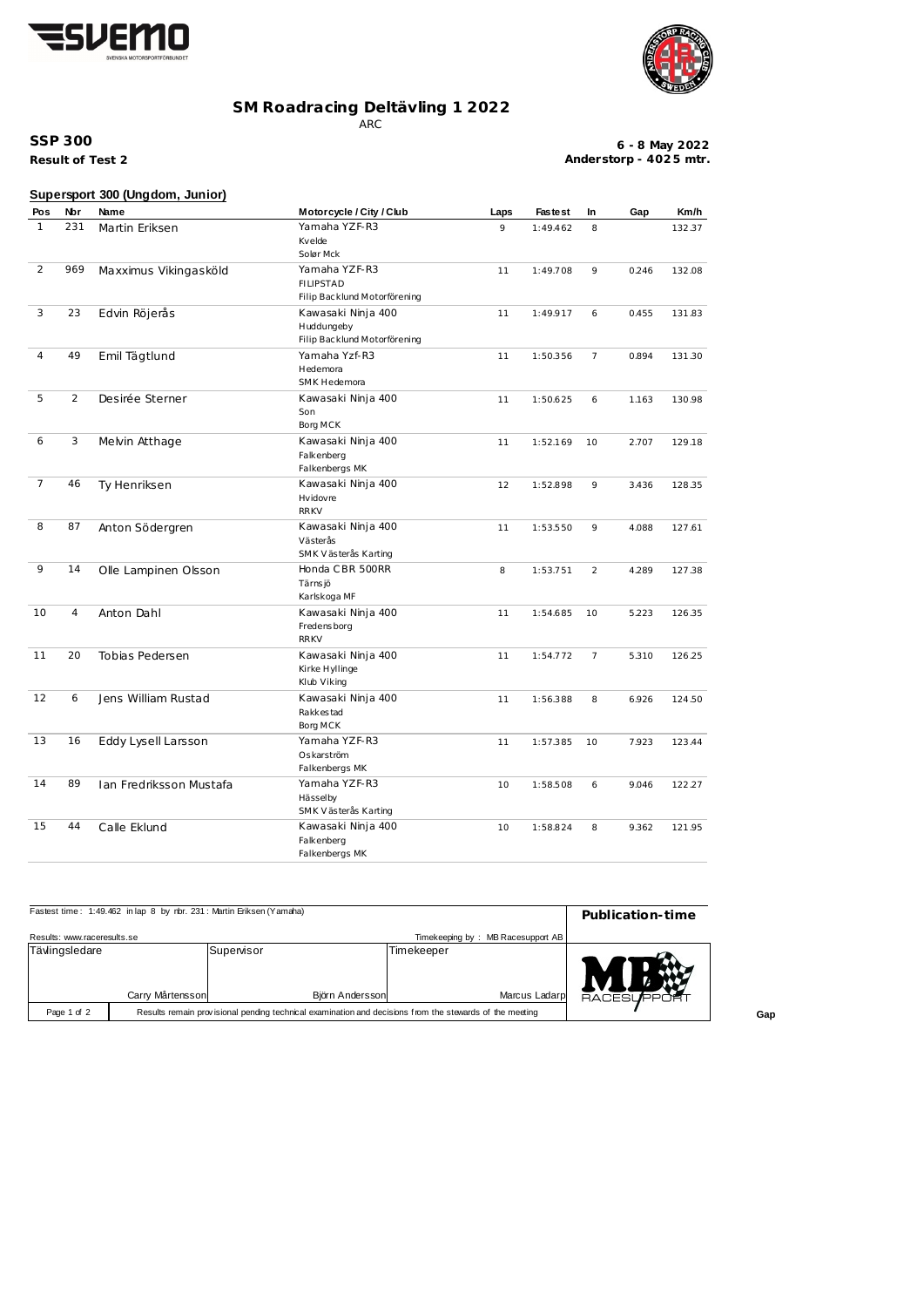



## **SM Roadracing Deltävling 1 2022**

ARC

**Result of Test 2 SSP 300**

**6 - 8 May 2022 Anderstorp - 402 5 mtr.**

|                |     | Supersport 300 (Ungdom, Junior) |                                                                   |      |                |                |       |        |
|----------------|-----|---------------------------------|-------------------------------------------------------------------|------|----------------|----------------|-------|--------|
| Pos            | Nbr | Name                            | Motorcycle / City / Club                                          | Laps | <b>Fastest</b> | In             | Gap   | Km/h   |
| $\mathbf{1}$   | 231 | Martin Eriksen                  | Yamaha YZF-R3<br>Kvelde<br>Solør Mck                              | 9    | 1:49.462       | 8              |       | 132.37 |
| 2              | 969 | Maxximus Vikingasköld           | Yamaha YZF-R3<br><b>FILIPSTAD</b><br>Filip Backlund Motorförening | 11   | 1:49.708       | 9              | 0.246 | 132.08 |
| 3              | 23  | Edvin Röjerås                   | Kawasaki Ninja 400<br>Huddungeby<br>Filip Backlund Motorförening  | 11   | 1:49.917       | 6              | 0.455 | 131.83 |
| 4              | 49  | Emil Tägtlund                   | Yamaha Yzf-R3<br>Hedemora<br>SMK Hedemora                         | 11   | 1:50.356       | $\overline{7}$ | 0.894 | 131.30 |
| 5              | 2   | Desirée Sterner                 | Kawasaki Ninja 400<br>Son<br>Borg MCK                             | 11   | 1:50.625       | 6              | 1.163 | 130.98 |
| 6              | 3   | Melvin Atthage                  | Kawasaki Ninja 400<br>Falkenberg<br>Falkenbergs MK                | 11   | 1:52.169       | 10             | 2.707 | 129.18 |
| $\overline{7}$ | 46  | Ty Henriksen                    | Kawasaki Ninja 400<br>Hvidovre<br><b>RRKV</b>                     | 12   | 1:52.898       | 9              | 3.436 | 128.35 |
| 8              | 87  | Anton Södergren                 | Kawasaki Ninja 400<br>Västerås<br>SMK Västerås Karting            | 11   | 1:53.550       | 9              | 4.088 | 127.61 |
| 9              | 14  | Olle Lampinen Olsson            | Honda CBR 500RR<br>Tärns jö<br>Karlskoga MF                       | 8    | 1:53.751       | 2              | 4.289 | 127.38 |
| 10             | 4   | Anton Dahl                      | Kawasaki Ninja 400<br>Fredensborg<br><b>RRKV</b>                  | 11   | 1:54.685       | 10             | 5.223 | 126.35 |
| 11             | 20  | Tobias Pedersen                 | Kawasaki Ninja 400<br>Kirke Hyllinge<br>Klub Viking               | 11   | 1:54.772       | 7              | 5.310 | 126.25 |
| 12             | 6   | Jens William Rustad             | Kawasaki Ninja 400<br>Rakkes tad<br>Borg MCK                      | 11   | 1:56.388       | 8              | 6.926 | 124.50 |
| 13             | 16  | Eddy Lysell Larsson             | Yamaha YZF-R3<br>Oskarström<br>Falkenbergs MK                     | 11   | 1:57.385       | 10             | 7.923 | 123.44 |
| 14             | 89  | Ian Fredriksson Mustafa         | Yamaha YZF-R3<br>Hässelby<br>SMK Västerås Karting                 | 10   | 1:58.508       | 6              | 9.046 | 122.27 |
| 15             | 44  | Calle Eklund                    | Kawasaki Ninja 400<br>Falkenberg<br>Falkenbergs MK                | 10   | 1:58.824       | 8              | 9.362 | 121.95 |

| Fastest time: 1:49.462 in lap 8 by nbr. 231: Martin Eriksen (Yamaha) | Publication-time                                                                                        |                              |            |                                   |                   |
|----------------------------------------------------------------------|---------------------------------------------------------------------------------------------------------|------------------------------|------------|-----------------------------------|-------------------|
| Results: www.raceresults.se                                          |                                                                                                         |                              |            | Timekeeping by: MB Racesupport AB |                   |
| Tävlingsledare                                                       | Carry Mårtensson                                                                                        | Supenisor<br>Björn Andersson | Timekeeper | Marcus Ladarp                     | <b>RACESUPPOR</b> |
| Page 1 of 2                                                          | Results remain provisional pending technical examination and decisions from the stewards of the meeting |                              |            |                                   |                   |

**Gap**